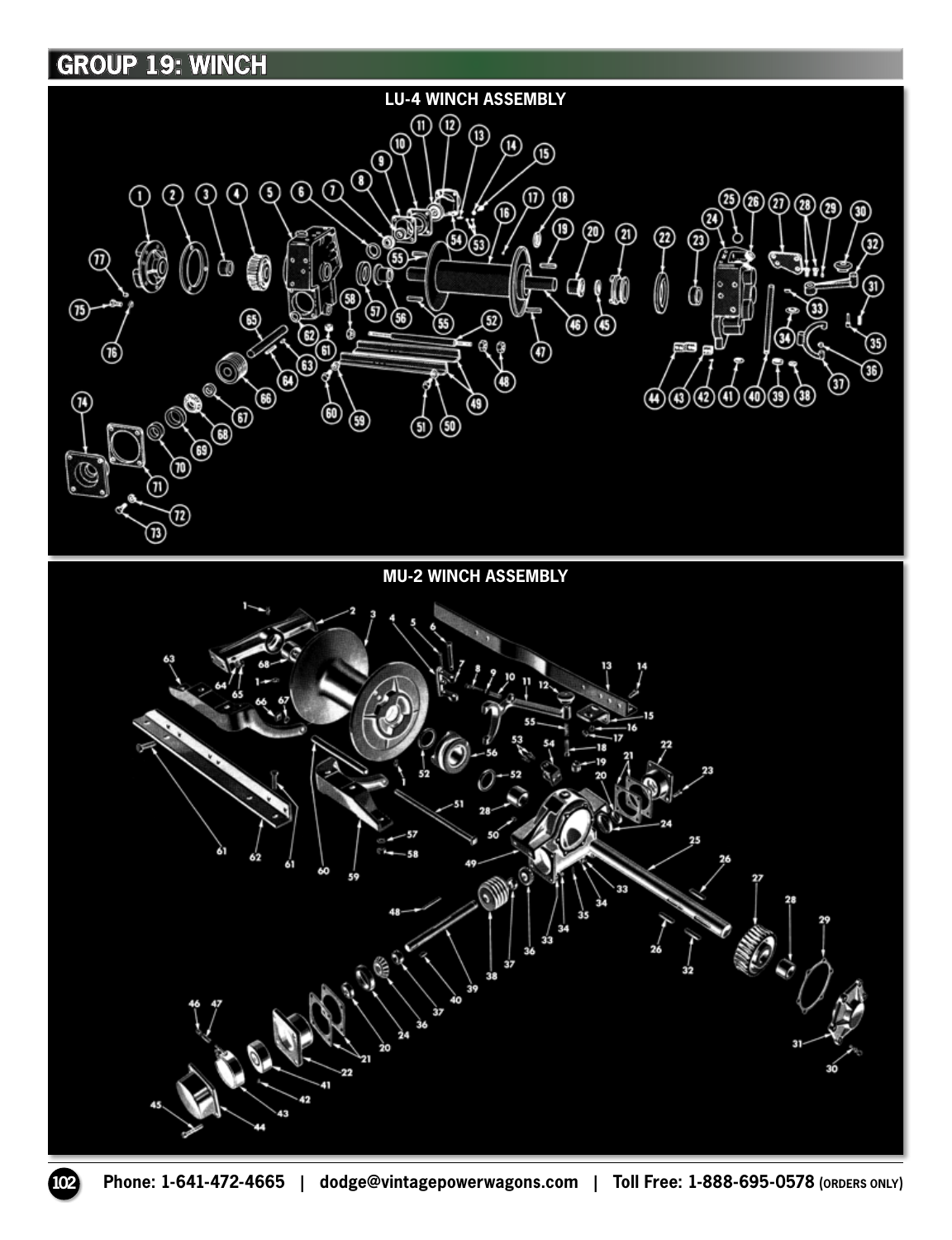## **GROUP 19: WINCH**

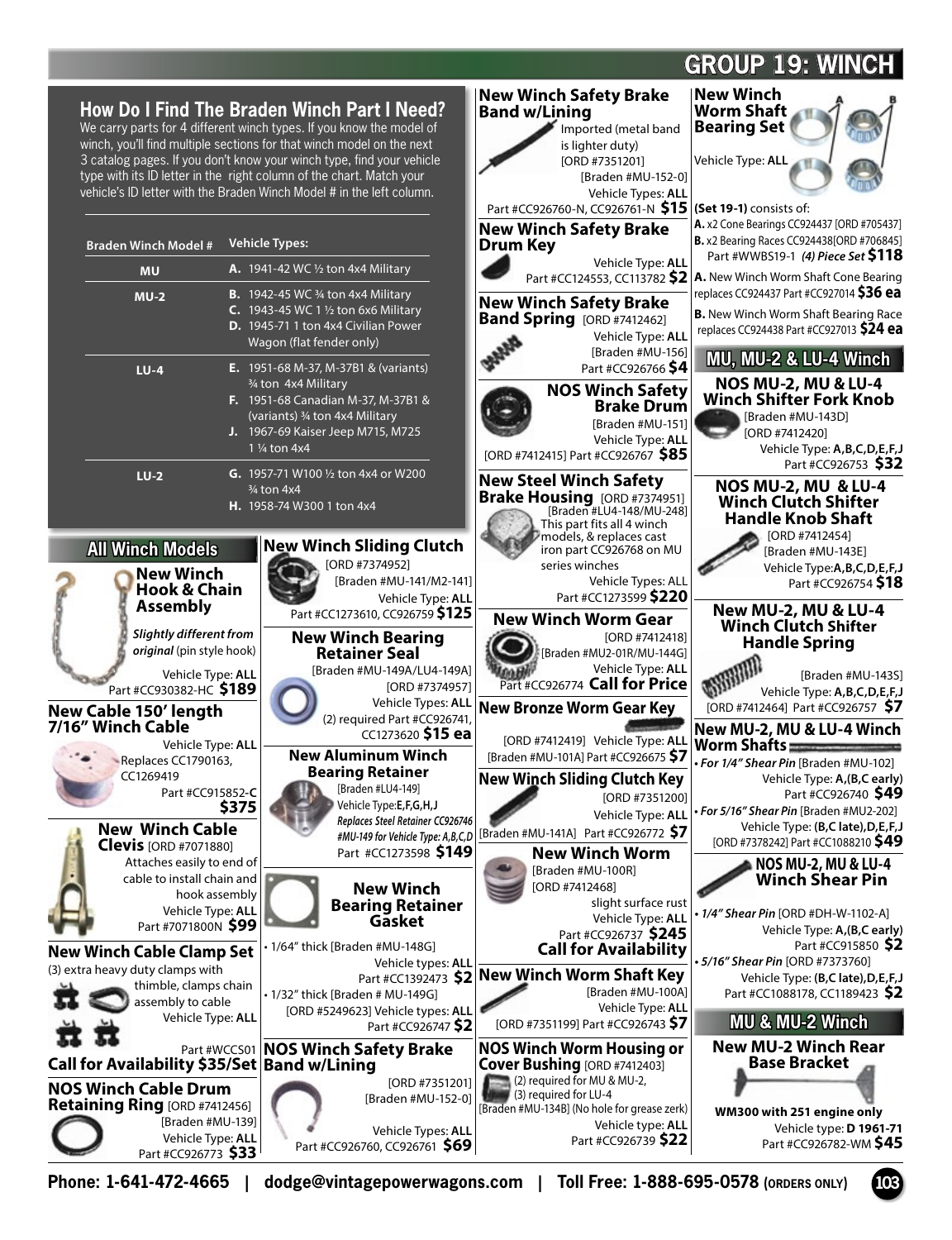# **GROUP 19: WINCH**

### **How Do I Find The Braden Winch Part I Need?**

We carry parts for 4 different winch types. If you know the model of winch, you'll find multiple sections for that winch model on the next 3 catalog pages. If you don't know your winch type, find your vehicle type with its ID letter in the right column of the chart. Match your vehicle's ID letter with the Braden Winch Model # in the left column.

|                                                                                                                                                    | Nev                                                                                                                                                                                                                    |
|----------------------------------------------------------------------------------------------------------------------------------------------------|------------------------------------------------------------------------------------------------------------------------------------------------------------------------------------------------------------------------|
| <b>Braden Winch Model #</b>                                                                                                                        | <b>Vehicle Types:</b><br>Dru                                                                                                                                                                                           |
| <b>MU</b>                                                                                                                                          | <b>A.</b> 1941-42 WC 1/2 ton 4x4 Military                                                                                                                                                                              |
| $MU-2$                                                                                                                                             | <b>B.</b> 1942-45 WC $\frac{3}{4}$ ton 4x4 Military<br>Nev<br><b>C.</b> 1943-45 WC 1 $\frac{1}{2}$ ton 6x6 Military<br>Ban<br>D. 1945-71 1 ton 4x4 Civilian Power<br>Wagon (flat fender only)                          |
| $LU-4$                                                                                                                                             | E. 1951-68 M-37, M-37B1 & (variants)<br>3⁄4 ton 4x4 Military<br>F. 1951-68 Canadian M-37, M-37B1 &<br>(variants) 3/4 ton 4x4 Military<br><b>J.</b> 1967-69 Kaiser Jeep M715, M725<br>1 1/ <sub>4</sub> ton 4x4<br>[ORI |
| $LU-2$                                                                                                                                             | <b>G.</b> 1957-71 W100 1/2 ton 4x4 or W200<br>Nev<br>3/ <sub>4</sub> ton 4x4<br>Bra<br>H. 1958-74 W300 1 ton 4x4                                                                                                       |
| <b>All Winch Models</b>                                                                                                                            | <b>New Winch Sliding Clutch</b>                                                                                                                                                                                        |
| <b>New Winch</b><br><b>Hook &amp; Chain</b><br><b>Assembly</b>                                                                                     | [ORD #7374952]<br>[Braden #MU-141/M2-141]<br>Vehicle Type: ALL<br>Part #CC1273610, CC926759 \$125                                                                                                                      |
| Slightly different from<br>original (pin style hook)<br>Vehicle Type: ALL<br>Part #CC930382-HC \$189<br>New Cable 150' length<br>7/16" Winch Cable | <b>New Winch Bearing</b><br><b>Retainer Seal</b><br>[Braden #MU-149A/LU4-149A]<br>[ORD #7374957]<br>Vehicle Types: ALL<br>New<br>(2) required Part #CC926741,<br>CC1273620 \$15 ea                                     |
| Vehicle Type: ALL<br>Replaces CC1790163,<br>CC1269419<br>Part #CC915852-C<br>\$375                                                                 | <b>New Aluminum Winch</b><br><b>Bearing Retainer</b><br>New<br>[Braden #LU4-149]<br>Vehicle Type:E,F,G,H,J                                                                                                             |
| <b>New Winch Cable</b><br><b>Clevis</b> [ORD #7071880]<br>Attaches easily to end of<br>cable to install chain and                                  | Replaces Steel Retainer CC926746<br>[Brad<br>#MU-149 for Vehicle Type: A,B,C,D<br>Part #CC1273598 \$149                                                                                                                |
| hook assembly<br>Vehicle Type: ALL<br>Part #7071800N \$99                                                                                          | <b>New Winch</b><br><b>Bearing Retainer</b><br>Gasket                                                                                                                                                                  |
| New Winch Cable Clamp Set<br>(3) extra heavy duty clamps with<br>thimble, clamps chain<br>assembly to cable<br>Vehicle Type: ALL                   | · 1/64" thick [Braden #MU-148G]<br>Vehicle types: ALL<br><b>Nev</b><br>Part #CC1392473 <b>\$2</b><br>• 1/32" thick [Braden # MU-149G]<br>[ORD #5249623] Vehicle types: ALL<br>Part #CC926747 \$2                       |
| Part #WCCS01<br>Call for Availability \$35/Set                                                                                                     | NOS<br><b>NOS Winch Safety Brake</b><br>Cov<br><b>Band w/Lining</b>                                                                                                                                                    |
| <b>NOS Winch Cable Drum</b>                                                                                                                        | [ORD #7351201]                                                                                                                                                                                                         |
|                                                                                                                                                    |                                                                                                                                                                                                                        |



**WM300 with 251 engine only** Vehicle type: **D 1961-71** Part #CC926782-WM **\$45**

**Phone: 1-641-472-4665 | dodge@vintagepowerwagons.com | Toll Free: 1-888-695-0578 (ORDERS ONLY) 103** 

Vehicle Types: **ALL**

Part #CC926760, CC926761 **\$69**

[Braden #MU-139] Vehicle Type: **ALL** Part #CC926773 **\$33** 

**Retaining Ring** [ORD #7412456]

Vehicle type: **ALL** Part #CC926739 **\$22**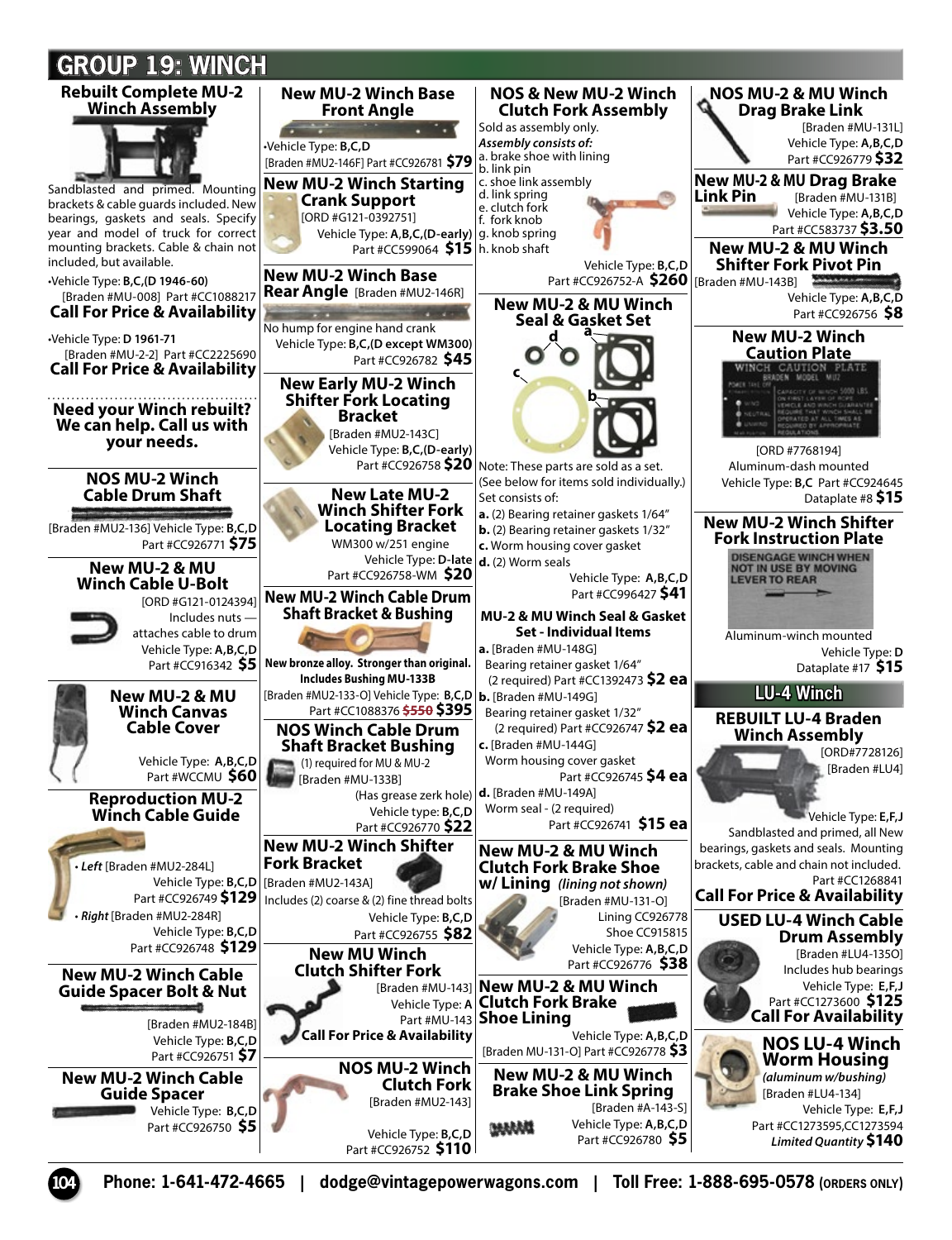# **GROUP 19: WINCH**